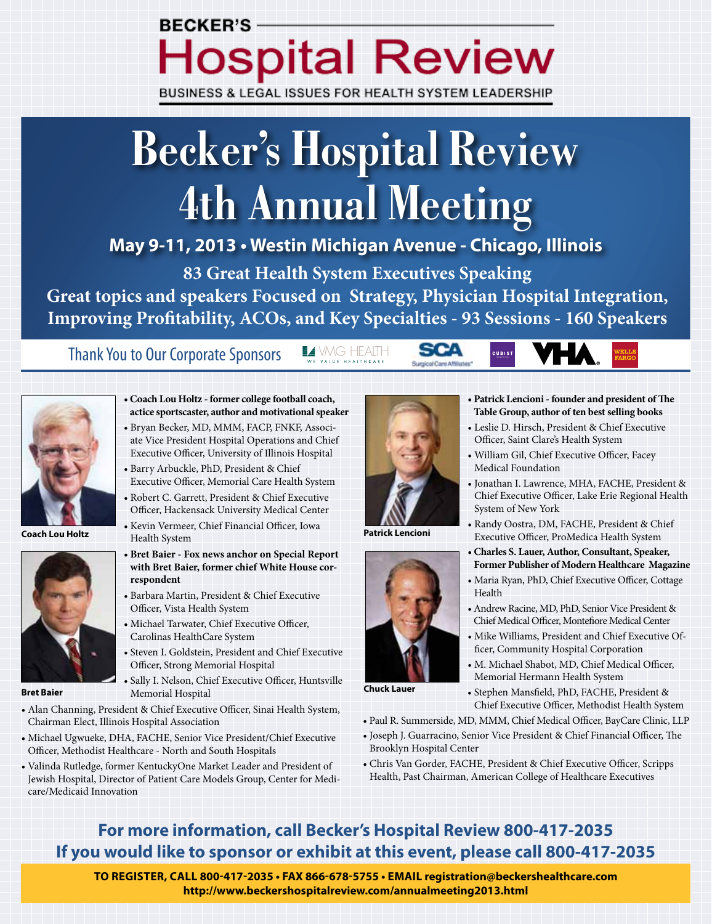# **BECKER'S-Hospital Review**

BUSINESS & LEGAL ISSUES FOR HEALTH SYSTEM LEADERSHIP

# **Becker's Hospital Review 4th Annual Meeting**

**May 9-11, 2013 • Westin Michigan Avenue - Chicago, Illinois**

**83 Great Health System Executives Speaking**

**Great topics and speakers Focused on Strategy, Physician Hospital Integration, Improving Profitability, ACOs, and Key Specialties - 93 Sessions - 160 Speakers**

 $\blacksquare\blacktriangle$  VMG HEALTH

Thank You to Our Corporate Sponsors



**Coach Lou Holtz**



**Bret Baier**

- **Coach Lou Holtz former college football coach, actice sportscaster, author and motivational speaker**
- Bryan Becker, MD, MMM, FACP, FNKF, Associate Vice President Hospital Operations and Chief Executive Officer, University of Illinois Hospital
- Barry Arbuckle, PhD, President & Chief Executive Officer, Memorial Care Health System
- Robert C. Garrett, President & Chief Executive Officer, Hackensack University Medical Center • Kevin Vermeer, Chief Financial Officer, Iowa
- Health System
- **Bret Baier Fox news anchor on Special Report with Bret Baier, former chief White House correspondent**
- Barbara Martin, President & Chief Executive Officer, Vista Health System
- Michael Tarwater, Chief Executive Officer, Carolinas HealthCare System
- Steven I. Goldstein, President and Chief Executive Officer, Strong Memorial Hospital
- Sally I. Nelson, Chief Executive Officer, Huntsville Memorial Hospital
- Alan Channing, President & Chief Executive Officer, Sinai Health System, Chairman Elect, Illinois Hospital Association
- Michael Ugwueke, DHA, FACHE, Senior Vice President/Chief Executive Officer, Methodist Healthcare - North and South Hospitals
- Valinda Rutledge, former KentuckyOne Market Leader and President of Jewish Hospital, Director of Patient Care Models Group, Center for Medicare/Medicaid Innovation



**SCA** 

Surgical Care Affiliates

**Patrick Lencioni**



**Chuck Lauer**

- Paul R. Summerside, MD, MMM, Chief Medical Officer, BayCare Clinic, LLP
- Joseph J. Guarracino, Senior Vice President & Chief Financial Officer, The Brooklyn Hospital Center
- Chris Van Gorder, FACHE, President & Chief Executive Officer, Scripps Health, Past Chairman, American College of Healthcare Executives

# **For more information, call Becker's Hospital Review 800-417-2035 If you would like to sponsor or exhibit at this event, please call 800-417-2035**

**To Register, call 800-417-2035 • Fax 866-678-5755 • Email registration@beckershealthcare.com http://www.beckershospitalreview.com/annualmeeting2013.html**

**• Patrick Lencioni - founder and president of The Table Group, author of ten best selling books** • Leslie D. Hirsch, President & Chief Executive Officer, Saint Clare's Health System • William Gil, Chief Executive Officer, Facey Medical Foundation

**CUBIST** 

- Jonathan I. Lawrence, MHA, FACHE, President & Chief Executive Officer, Lake Erie Regional Health System of New York
- Randy Oostra, DM, FACHE, President & Chief Executive Officer, ProMedica Health System
- **Charles S. Lauer, Author, Consultant, Speaker, Former Publisher of Modern Healthcare Magazine**
- Maria Ryan, PhD, Chief Executive Officer, Cottage Health
- Andrew Racine, MD, PhD, Senior Vice President & Chief Medical Officer, Montefiore Medical Center
- Mike Williams, President and Chief Executive Officer, Community Hospital Corporation
- M. Michael Shabot, MD, Chief Medical Officer, Memorial Hermann Health System

• Stephen Mansfield, PhD, FACHE, President & Chief Executive Officer, Methodist Health System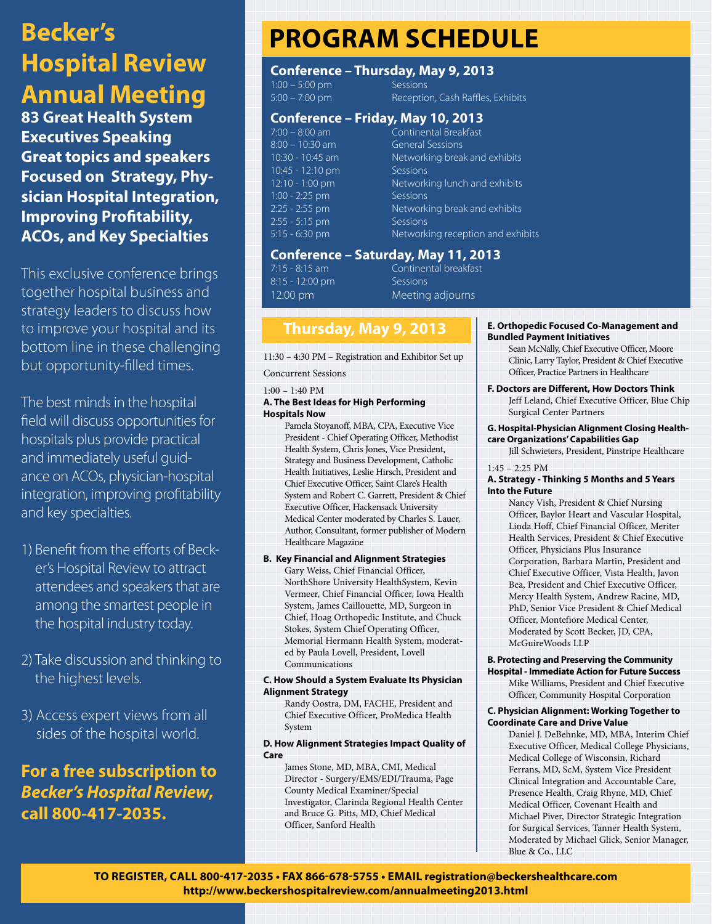# **Becker's Hospital Review Annual Meeting**

**83 Great Health System Executives Speaking Great topics and speakers Focused on Strategy, Physician Hospital Integration, Improving Profitability, ACOs, and Key Specialties**

This exclusive conference brings together hospital business and strategy leaders to discuss how to improve your hospital and its bottom line in these challenging but opportunity-filled times.

The best minds in the hospital field will discuss opportunities for hospitals plus provide practical and immediately useful guidance on ACOs, physician-hospital integration, improving profitability and key specialties.

- 1) Benefit from the efforts of Becker's Hospital Review to attract attendees and speakers that are among the smartest people in the hospital industry today.
- 2) Take discussion and thinking to the highest levels.
- 3) Access expert views from all sides of the hospital world.

# **For a free subscription to**  *Becker's Hospital Review***, call 800-417-2035.**

# **Program Schedule**

### **Conference – Thursday, May 9, 2013**

1:00 – 5:00 pm<br>5:00 – 7:00 pm Receptic Reception, Cash Raffles, Exhibits

### **Conference – Friday, May 10, 2013**

7:00 – 8:00 am Continental Breakfast 8:00 – 10:30 am General Sessions 10:30 - 10:45 am Networking break and exhibits 10:45 - 12:10 pm Sessions<br>
12:10 - 1:00 pm Network Networking lunch and exhibits 1:00 - 2:25 pm Sessions 2:25 - 2:55 pm Networking break and exhibits 2:55 - 5:15 pm Sessions 5:15 - 6:30 pm Networking reception and exhibits

# **Conference – Saturday, May 11, 2013**

8:15 - 12:00 pm Sessions

Continental breakfast 12:00 pm Meeting adjourns

### **Thursday, May 9, 2013**

11:30 – 4:30 PM – Registration and Exhibitor Set up

Concurrent Sessions

#### 1:00 – 1:40 PM

#### **A. The Best Ideas for High Performing Hospitals Now**

Pamela Stoyanoff, MBA, CPA, Executive Vice President - Chief Operating Officer, Methodist Health System, Chris Jones, Vice President, Strategy and Business Development, Catholic Health Initiatives, Leslie Hirsch, President and Chief Executive Officer, Saint Clare's Health System and Robert C. Garrett, President & Chief Executive Officer, Hackensack University Medical Center moderated by Charles S. Lauer, Author, Consultant, former publisher of Modern Healthcare Magazine

#### **B. Key Financial and Alignment Strategies**

Gary Weiss, Chief Financial Officer, NorthShore University HealthSystem, Kevin Vermeer, Chief Financial Officer, Iowa Health System, James Caillouette, MD, Surgeon in Chief, Hoag Orthopedic Institute, and Chuck Stokes, System Chief Operating Officer, Memorial Hermann Health System, moderated by Paula Lovell, President, Lovell Communications

#### **C. How Should a System Evaluate Its Physician Alignment Strategy**

Randy Oostra, DM, FACHE, President and Chief Executive Officer, ProMedica Health System

#### **D. How Alignment Strategies Impact Quality of Care**

James Stone, MD, MBA, CMI, Medical Director - Surgery/EMS/EDI/Trauma, Page County Medical Examiner/Special Investigator, Clarinda Regional Health Center and Bruce G. Pitts, MD, Chief Medical Officer, Sanford Health

#### **E. Orthopedic Focused Co-Management and Bundled Payment Initiatives**

Sean McNally, Chief Executive Officer, Moore Clinic, Larry Taylor, President & Chief Executive Officer, Practice Partners in Healthcare

#### **F. Doctors are Different, How Doctors Think**

Jeff Leland, Chief Executive Officer, Blue Chip Surgical Center Partners

#### **G. Hospital-Physician Alignment Closing Healthcare Organizations' Capabilities Gap**

Jill Schwieters, President, Pinstripe Healthcare

1:45 – 2:25 PM

#### **A. Strategy - Thinking 5 Months and 5 Years Into the Future**

Nancy Vish, President & Chief Nursing Officer, Baylor Heart and Vascular Hospital, Linda Hoff, Chief Financial Officer, Meriter Health Services, President & Chief Executive Officer, Physicians Plus Insurance Corporation, Barbara Martin, President and Chief Executive Officer, Vista Health, Javon Bea, President and Chief Executive Officer, Mercy Health System, Andrew Racine, MD, PhD, Senior Vice President & Chief Medical Officer, Montefiore Medical Center, Moderated by Scott Becker, JD, CPA, McGuireWoods LLP

#### **B. Protecting and Preserving the Community**

**Hospital - Immediate Action for Future Success** Mike Williams, President and Chief Executive Officer, Community Hospital Corporation

#### **C. Physician Alignment: Working Together to Coordinate Care and Drive Value**

Daniel J. DeBehnke, MD, MBA, Interim Chief Executive Officer, Medical College Physicians, Medical College of Wisconsin, Richard Ferrans, MD, ScM, System Vice President Clinical Integration and Accountable Care, Presence Health, Craig Rhyne, MD, Chief Medical Officer, Covenant Health and Michael Piver, Director Strategic Integration for Surgical Services, Tanner Health System, Moderated by Michael Glick, Senior Manager, Blue & Co., LLC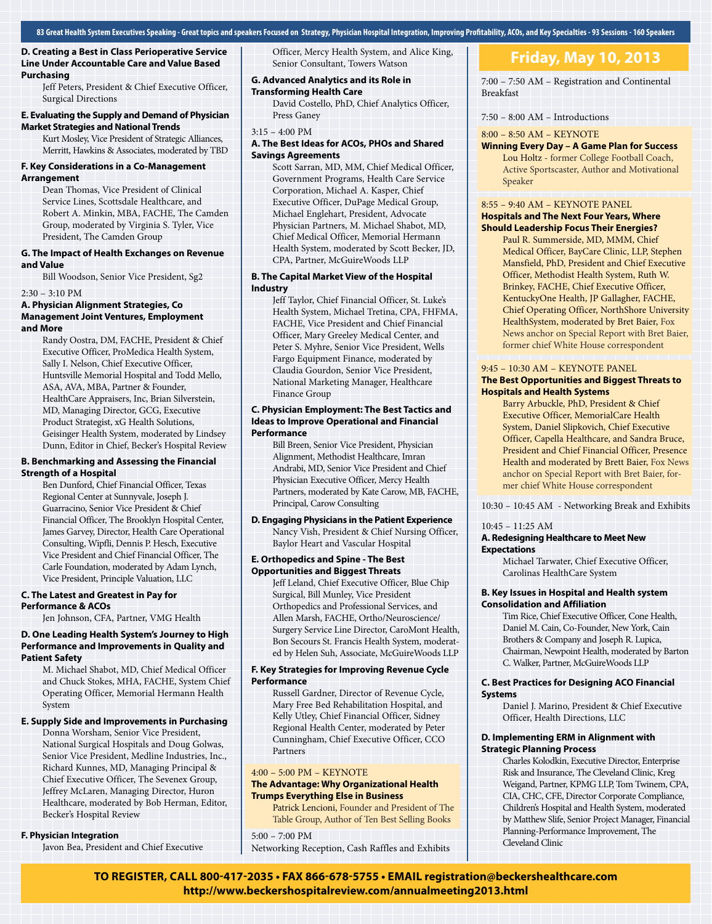**D. Creating a Best in Class Perioperative Service Line Under Accountable Care and Value Based Purchasing**

Jeff Peters, President & Chief Executive Officer, Surgical Directions

#### **E. Evaluating the Supply and Demand of Physician Market Strategies and National Trends**

Kurt Mosley, Vice President of Strategic Alliances, Merritt, Hawkins & Associates, moderated by TBD

#### **F. Key Considerations in a Co-Management Arrangement**

Dean Thomas, Vice President of Clinical Service Lines, Scottsdale Healthcare, and Robert A. Minkin, MBA, FACHE, The Camden Group, moderated by Virginia S. Tyler, Vice President, The Camden Group

#### **G. The Impact of Health Exchanges on Revenue and Value**

Bill Woodson, Senior Vice President, Sg2

#### 2:30 – 3:10 PM

#### **A. Physician Alignment Strategies, Co Management Joint Ventures, Employment and More**

Randy Oostra, DM, FACHE, President & Chief Executive Officer, ProMedica Health System, Sally I. Nelson, Chief Executive Officer, Huntsville Memorial Hospital and Todd Mello, ASA, AVA, MBA, Partner & Founder, HealthCare Appraisers, Inc, Brian Silverstein, MD, Managing Director, GCG, Executive Product Strategist, xG Health Solutions, Geisinger Health System, moderated by Lindsey Dunn, Editor in Chief, Becker's Hospital Review

#### **B. Benchmarking and Assessing the Financial Strength of a Hospital**

Ben Dunford, Chief Financial Officer, Texas Regional Center at Sunnyvale, Joseph J. Guarracino, Senior Vice President & Chief Financial Officer, The Brooklyn Hospital Center, James Garvey, Director, Health Care Operational Consulting, Wipfli, Dennis P. Hesch, Executive Vice President and Chief Financial Officer, The Carle Foundation, moderated by Adam Lynch, Vice President, Principle Valuation, LLC

#### **C. The Latest and Greatest in Pay for Performance & ACOs**

Jen Johnson, CFA, Partner, VMG Health

#### **D. One Leading Health System's Journey to High Performance and Improvements in Quality and Patient Safety**

M. Michael Shabot, MD, Chief Medical Officer and Chuck Stokes, MHA, FACHE, System Chief Operating Officer, Memorial Hermann Health System

#### **E. Supply Side and Improvements in Purchasing**

Donna Worsham, Senior Vice President, National Surgical Hospitals and Doug Golwas, Senior Vice President, Medline Industries, Inc., Richard Kunnes, MD, Managing Principal & Chief Executive Officer, The Sevenex Group, Jeffrey McLaren, Managing Director, Huron Healthcare, moderated by Bob Herman, Editor, Becker's Hospital Review

#### **F. Physician Integration**

Javon Bea, President and Chief Executive

Officer, Mercy Health System, and Alice King, Senior Consultant, Towers Watson

#### **G. Advanced Analytics and its Role in**

#### **Transforming Health Care**

David Costello, PhD, Chief Analytics Officer, Press Ganey

#### 3:15 – 4:00 PM

#### **A. The Best Ideas for ACOs, PHOs and Shared Savings Agreements**

Scott Sarran, MD, MM, Chief Medical Officer, Government Programs, Health Care Service Corporation, Michael A. Kasper, Chief Executive Officer, DuPage Medical Group, Michael Englehart, President, Advocate Physician Partners, M. Michael Shabot, MD, Chief Medical Officer, Memorial Hermann Health System, moderated by Scott Becker, JD, CPA, Partner, McGuireWoods LLP

#### **B. The Capital Market View of the Hospital Industry**

Jeff Taylor, Chief Financial Officer, St. Luke's Health System, Michael Tretina, CPA, FHFMA, FACHE, Vice President and Chief Financial Officer, Mary Greeley Medical Center, and Peter S. Myhre, Senior Vice President, Wells Fargo Equipment Finance, moderated by Claudia Gourdon, Senior Vice President, National Marketing Manager, Healthcare Finance Group

#### **C. Physician Employment: The Best Tactics and Ideas to Improve Operational and Financial Performance**

Bill Breen, Senior Vice President, Physician Alignment, Methodist Healthcare, Imran Andrabi, MD, Senior Vice President and Chief Physician Executive Officer, Mercy Health Partners, moderated by Kate Carow, MB, FACHE, Principal, Carow Consulting

#### **D. Engaging Physicians in the Patient Experience**

Nancy Vish, President & Chief Nursing Officer, Baylor Heart and Vascular Hospital

#### **E. Orthopedics and Spine - The Best Opportunities and Biggest Threats**

Jeff Leland, Chief Executive Officer, Blue Chip Surgical, Bill Munley, Vice President Orthopedics and Professional Services, and Allen Marsh, FACHE, Ortho/Neuroscience/ Surgery Service Line Director, CaroMont Health, Bon Secours St. Francis Health System, moderated by Helen Suh, Associate, McGuireWoods LLP

#### **F. Key Strategies for Improving Revenue Cycle Performance**

Russell Gardner, Director of Revenue Cycle, Mary Free Bed Rehabilitation Hospital, and Kelly Utley, Chief Financial Officer, Sidney Regional Health Center, moderated by Peter Cunningham, Chief Executive Officer, CCO Partners

#### 4:00 – 5:00 PM – KEYNOTE

#### **The Advantage: Why Organizational Health Trumps Everything Else in Business**

Patrick Lencioni, Founder and President of The Table Group, Author of Ten Best Selling Books

5:00 – 7:00 PM Networking Reception, Cash Raffles and Exhibits

### **Friday, May 10, 2013**

7:00 – 7:50 AM – Registration and Continental Breakfast

7:50 – 8:00 AM – Introductions

#### 8:00 – 8:50 AM – KEYNOTE

**Winning Every Day – A Game Plan for Success** Lou Holtz - former College Football Coach, Active Sportscaster, Author and Motivational Speaker

#### 8:55 – 9:40 AM – KEYNOTE PANEL **Hospitals and The Next Four Years, Where Should Leadership Focus Their Energies?**

Paul R. Summerside, MD, MMM, Chief Medical Officer, BayCare Clinic, LLP, Stephen Mansfield, PhD, President and Chief Executive Officer, Methodist Health System, Ruth W. Brinkey, FACHE, Chief Executive Officer, KentuckyOne Health, JP Gallagher, FACHE, Chief Operating Officer, NorthShore University HealthSystem, moderated by Bret Baier, Fox News anchor on Special Report with Bret Baier, former chief White House correspondent

#### 9:45 – 10:30 AM – KEYNOTE PANEL

#### **The Best Opportunities and Biggest Threats to Hospitals and Health Systems**

Barry Arbuckle, PhD, President & Chief Executive Officer, MemorialCare Health System, Daniel Slipkovich, Chief Executive Officer, Capella Healthcare, and Sandra Bruce, President and Chief Financial Officer, Presence Health and moderated by Brett Baier, Fox News anchor on Special Report with Bret Baier, former chief White House correspondent

10:30 – 10:45 AM - Networking Break and Exhibits

#### 10:45 – 11:25 AM

#### **A. Redesigning Healthcare to Meet New Expectations**

Michael Tarwater, Chief Executive Officer, Carolinas HealthCare System

#### **B. Key Issues in Hospital and Health system Consolidation and Affiliation**

Tim Rice, Chief Executive Officer, Cone Health, Daniel M. Cain, Co-Founder, New York, Cain Brothers & Company and Joseph R. Lupica, Chairman, Newpoint Health, moderated by Barton C. Walker, Partner, McGuireWoods LLP

#### **C. Best Practices for Designing ACO Financial Systems**

Daniel J. Marino, President & Chief Executive Officer, Health Directions, LLC

#### **D. Implementing ERM in Alignment with Strategic Planning Process**

Charles Kolodkin, Executive Director, Enterprise Risk and Insurance, The Cleveland Clinic, Kreg Weigand, Partner, KPMG LLP, Tom Twinem, CPA, CIA, CHC, CFE, Director Corporate Compliance, Children's Hospital and Health System, moderated by Matthew Slife, Senior Project Manager, Financial Planning-Performance Improvement, The Cleveland Clinic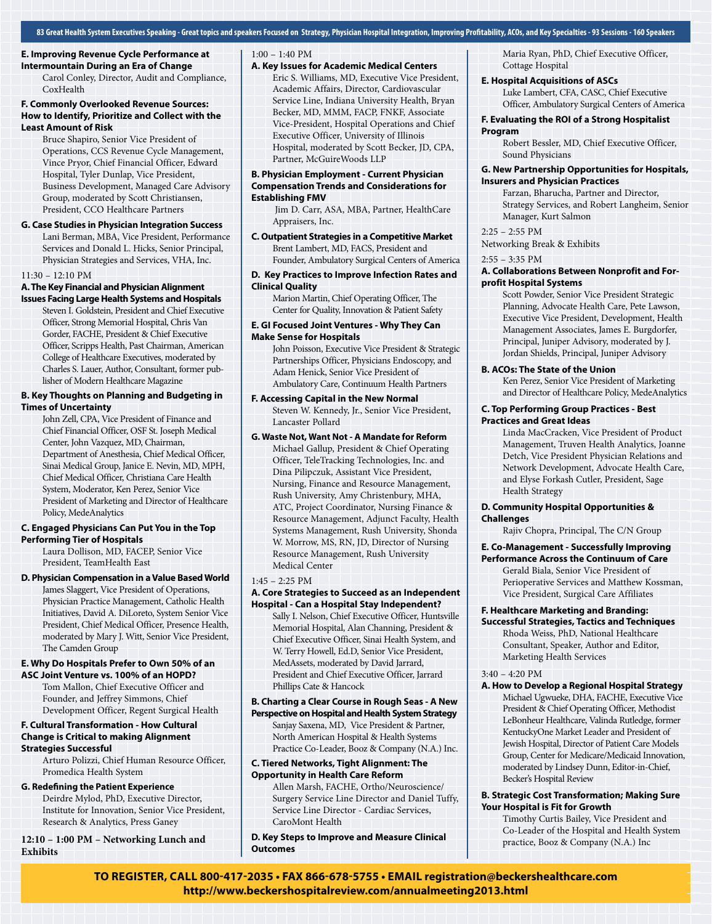**83 Great Health System Executives Speaking - Great topics and speakers Focused on Strategy, Physician Hospital Integration, Improving Profitability, ACOs, and Key Specialties - 93 Sessions - 160 Speakers**

#### **E. Improving Revenue Cycle Performance at Intermountain During an Era of Change**

Carol Conley, Director, Audit and Compliance, CoxHealth

#### **F. Commonly Overlooked Revenue Sources: How to Identify, Prioritize and Collect with the Least Amount of Risk**

Bruce Shapiro, Senior Vice President of Operations, CCS Revenue Cycle Management, Vince Pryor, Chief Financial Officer, Edward Hospital, Tyler Dunlap, Vice President, Business Development, Managed Care Advisory Group, moderated by Scott Christiansen, President, CCO Healthcare Partners

#### **G. Case Studies in Physician Integration Success**

Lani Berman, MBA, Vice President, Performance Services and Donald L. Hicks, Senior Principal, Physician Strategies and Services, VHA, Inc.

#### 11:30 – 12:10 PM

#### **A. The Key Financial and Physician Alignment Issues Facing Large Health Systems and Hospitals**

Steven I. Goldstein, President and Chief Executive Officer, Strong Memorial Hospital, Chris Van Gorder, FACHE, President & Chief Executive Officer, Scripps Health, Past Chairman, American College of Healthcare Executives, moderated by Charles S. Lauer, Author, Consultant, former publisher of Modern Healthcare Magazine

#### **B. Key Thoughts on Planning and Budgeting in Times of Uncertainty**

John Zell, CPA, Vice President of Finance and Chief Financial Officer, OSF St. Joseph Medical Center, John Vazquez, MD, Chairman, Department of Anesthesia, Chief Medical Officer, Sinai Medical Group, Janice E. Nevin, MD, MPH, Chief Medical Officer, Christiana Care Health System, Moderator, Ken Perez, Senior Vice President of Marketing and Director of Healthcare Policy, MedeAnalytics

#### **C. Engaged Physicians Can Put You in the Top Performing Tier of Hospitals**

Laura Dollison, MD, FACEP, Senior Vice President, TeamHealth East

#### **D. Physician Compensation in a Value Based World**

James Slaggert, Vice President of Operations, Physician Practice Management, Catholic Health Initiatives, David A. DiLoreto, System Senior Vice President, Chief Medical Officer, Presence Health, moderated by Mary J. Witt, Senior Vice President, The Camden Group

#### **E. Why Do Hospitals Prefer to Own 50% of an ASC Joint Venture vs. 100% of an HOPD?**

Tom Mallon, Chief Executive Officer and Founder, and Jeffrey Simmons, Chief Development Officer, Regent Surgical Health

#### **F. Cultural Transformation - How Cultural Change is Critical to making Alignment Strategies Successful**

Arturo Polizzi, Chief Human Resource Officer, Promedica Health System

#### **G. Redefining the Patient Experience**

Deirdre Mylod, PhD, Executive Director, Institute for Innovation, Senior Vice President, Research & Analytics, Press Ganey

#### **12:10 – 1:00 PM – Networking Lunch and Exhibits**

#### 1:00 – 1:40 PM

#### **A. Key Issues for Academic Medical Centers**

Eric S. Williams, MD, Executive Vice President, Academic Affairs, Director, Cardiovascular Service Line, Indiana University Health, Bryan Becker, MD, MMM, FACP, FNKF, Associate Vice-President, Hospital Operations and Chief Executive Officer, University of Illinois Hospital, moderated by Scott Becker, JD, CPA, Partner, McGuireWoods LLP

#### **B. Physician Employment - Current Physician Compensation Trends and Considerations for Establishing FMV**

 Jim D. Carr, ASA, MBA, Partner, HealthCare Appraisers, Inc.

#### **C. Outpatient Strategies in a Competitive Market** Brent Lambert, MD, FACS, President and

Founder, Ambulatory Surgical Centers of America **D. Key Practices to Improve Infection Rates and** 

## **Clinical Quality**

Marion Martin, Chief Operating Officer, The Center for Quality, Innovation & Patient Safety

#### **E. GI Focused Joint Ventures - Why They Can Make Sense for Hospitals**

John Poisson, Executive Vice President & Strategic Partnerships Officer, Physicians Endoscopy, and Adam Henick, Senior Vice President of Ambulatory Care, Continuum Health Partners

#### **F. Accessing Capital in the New Normal**

Steven W. Kennedy, Jr., Senior Vice President, Lancaster Pollard

#### **G. Waste Not, Want Not - A Mandate for Reform**

Michael Gallup, President & Chief Operating Officer, TeleTracking Technologies, Inc. and Dina Pilipczuk, Assistant Vice President, Nursing, Finance and Resource Management, Rush University, Amy Christenbury, MHA, ATC, Project Coordinator, Nursing Finance & Resource Management, Adjunct Faculty, Health Systems Management, Rush University, Shonda W. Morrow, MS, RN, JD, Director of Nursing Resource Management, Rush University Medical Center

#### 1:45 – 2:25 PM

#### **A. Core Strategies to Succeed as an Independent Hospital - Can a Hospital Stay Independent?**

Sally I. Nelson, Chief Executive Officer, Huntsville Memorial Hospital, Alan Channing, President & Chief Executive Officer, Sinai Health System, and W. Terry Howell, Ed.D, Senior Vice President, MedAssets, moderated by David Jarrard, President and Chief Executive Officer, Jarrard Phillips Cate & Hancock

#### **B. Charting a Clear Course in Rough Seas - A New Perspective on Hospital and Health System Strategy**

Sanjay Saxena, MD, Vice President & Partner, North American Hospital & Health Systems Practice Co-Leader, Booz & Company (N.A.) Inc.

#### **C. Tiered Networks, Tight Alignment: The Opportunity in Health Care Reform**

Allen Marsh, FACHE, Ortho/Neuroscience/ Surgery Service Line Director and Daniel Tuffy, Service Line Director - Cardiac Services, CaroMont Health

**D. Key Steps to Improve and Measure Clinical Outcomes**

#### Maria Ryan, PhD, Chief Executive Officer, Cottage Hospital

#### **E. Hospital Acquisitions of ASCs**

Luke Lambert, CFA, CASC, Chief Executive Officer, Ambulatory Surgical Centers of America

#### **F. Evaluating the ROI of a Strong Hospitalist Program**

Robert Bessler, MD, Chief Executive Officer, Sound Physicians

#### **G. New Partnership Opportunities for Hospitals, Insurers and Physician Practices**

Farzan, Bharucha, Partner and Director, Strategy Services, and Robert Langheim, Senior Manager, Kurt Salmon

2:25 – 2:55 PM Networking Break & Exhibits

#### 2:55 – 3:35 PM

#### **A. Collaborations Between Nonprofit and Forprofit Hospital Systems**

Scott Powder, Senior Vice President Strategic Planning, Advocate Health Care, Pete Lawson, Executive Vice President, Development, Health Management Associates, James E. Burgdorfer, Principal, Juniper Advisory, moderated by J. Jordan Shields, Principal, Juniper Advisory

#### **B. ACOs: The State of the Union**

Ken Perez, Senior Vice President of Marketing and Director of Healthcare Policy, MedeAnalytics

#### **C. Top Performing Group Practices - Best Practices and Great Ideas**

Linda MacCracken, Vice President of Product Management, Truven Health Analytics, Joanne Detch, Vice President Physician Relations and Network Development, Advocate Health Care, and Elyse Forkash Cutler, President, Sage Health Strategy

#### **D. Community Hospital Opportunities & Challenges**

Rajiv Chopra, Principal, The C/N Group

#### **E. Co-Management - Successfully Improving**

**Performance Across the Continuum of Care**

Gerald Biala, Senior Vice President of Perioperative Services and Matthew Kossman, Vice President, Surgical Care Affiliates

#### **F. Healthcare Marketing and Branding:**

**Successful Strategies, Tactics and Techniques** Rhoda Weiss, PhD, National Healthcare Consultant, Speaker, Author and Editor, Marketing Health Services

#### 3:40 – 4:20 PM

#### **A. How to Develop a Regional Hospital Strategy**

Michael Ugwueke, DHA, FACHE, Executive Vice President & Chief Operating Officer, Methodist LeBonheur Healthcare, Valinda Rutledge, former KentuckyOne Market Leader and President of Jewish Hospital, Director of Patient Care Models Group, Center for Medicare/Medicaid Innovation, moderated by Lindsey Dunn, Editor-in-Chief, Becker's Hospital Review

#### **B. Strategic Cost Transformation; Making Sure Your Hospital is Fit for Growth**

Timothy Curtis Bailey, Vice President and Co-Leader of the Hospital and Health System practice, Booz & Company (N.A.) Inc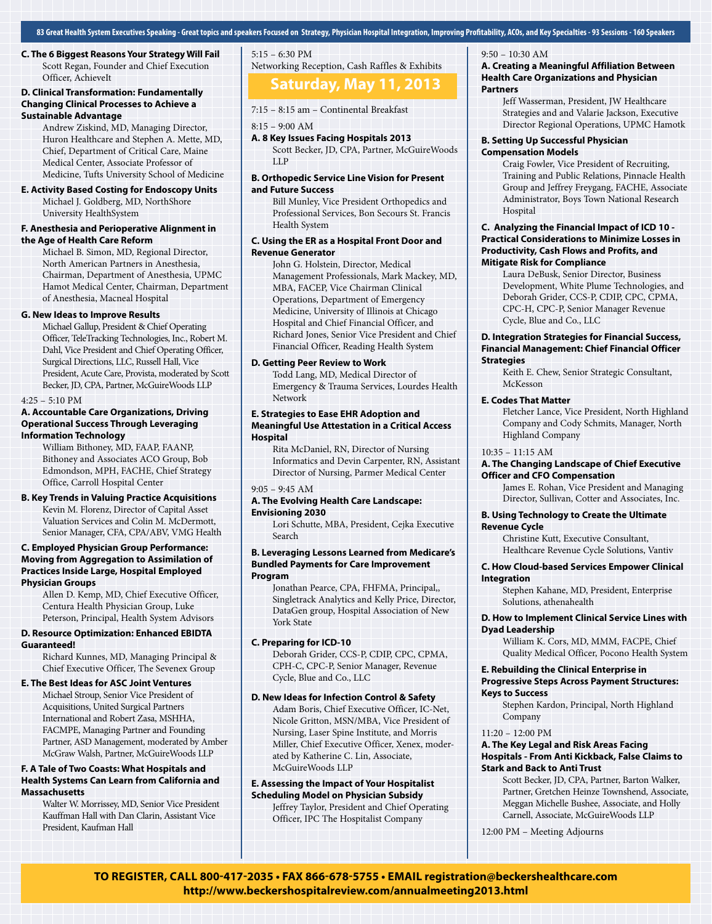**83 Great Health System Executives Speaking - Great topics and speakers Focused on Strategy, Physician Hospital Integration, Improving Profitability, ACOs, and Key Specialties - 93 Sessions - 160 Speakers**

**C. The 6 Biggest Reasons Your Strategy Will Fail** Scott Regan, Founder and Chief Execution Officer, AchieveIt

#### **D. Clinical Transformation: Fundamentally Changing Clinical Processes to Achieve a Sustainable Advantage**

Andrew Ziskind, MD, Managing Director, Huron Healthcare and Stephen A. Mette, MD, Chief, Department of Critical Care, Maine Medical Center, Associate Professor of Medicine, Tufts University School of Medicine

#### **E. Activity Based Costing for Endoscopy Units**

Michael J. Goldberg, MD, NorthShore University HealthSystem

#### **F. Anesthesia and Perioperative Alignment in the Age of Health Care Reform**

Michael B. Simon, MD, Regional Director, North American Partners in Anesthesia, Chairman, Department of Anesthesia, UPMC Hamot Medical Center, Chairman, Department of Anesthesia, Macneal Hospital

#### **G. New Ideas to Improve Results**

Michael Gallup, President & Chief Operating Officer, TeleTracking Technologies, Inc., Robert M. Dahl, Vice President and Chief Operating Officer, Surgical Directions, LLC, Russell Hall, Vice President, Acute Care, Provista, moderated by Scott Becker, JD, CPA, Partner, McGuireWoods LLP

#### $4:25 - 5:10$  PM

#### **A. Accountable Care Organizations, Driving Operational Success Through Leveraging Information Technology**

William Bithoney, MD, FAAP, FAANP, Bithoney and Associates ACO Group, Bob Edmondson, MPH, FACHE, Chief Strategy Office, Carroll Hospital Center

#### **B. Key Trends in Valuing Practice Acquisitions** Kevin M. Florenz, Director of Capital Asset Valuation Services and Colin M. McDermott, Senior Manager, CFA, CPA/ABV, VMG Health

#### **C. Employed Physician Group Performance: Moving from Aggregation to Assimilation of Practices Inside Large, Hospital Employed Physician Groups**

Allen D. Kemp, MD, Chief Executive Officer, Centura Health Physician Group, Luke Peterson, Principal, Health System Advisors

#### **D. Resource Optimization: Enhanced EBIDTA Guaranteed!**

Richard Kunnes, MD, Managing Principal & Chief Executive Officer, The Sevenex Group

#### **E. The Best Ideas for ASC Joint Ventures**

Michael Stroup, Senior Vice President of Acquisitions, United Surgical Partners International and Robert Zasa, MSHHA, FACMPE, Managing Partner and Founding Partner, ASD Management, moderated by Amber McGraw Walsh, Partner, McGuireWoods LLP

#### **F. A Tale of Two Coasts: What Hospitals and Health Systems Can Learn from California and Massachusetts**

Walter W. Morrissey, MD, Senior Vice President Kauffman Hall with Dan Clarin, Assistant Vice President, Kaufman Hall

### 5:15 – 6:30 PM Networking Reception, Cash Raffles & Exhibits

## **Saturday, May 11, 2013**

7:15 – 8:15 am – Continental Breakfast

8:15 – 9:00 AM

#### **A. 8 Key Issues Facing Hospitals 2013** Scott Becker, JD, CPA, Partner, McGuireWoods LLP

#### **B. Orthopedic Service Line Vision for Present and Future Success**

Bill Munley, Vice President Orthopedics and Professional Services, Bon Secours St. Francis Health System

#### **C. Using the ER as a Hospital Front Door and Revenue Generator**

John G. Holstein, Director, Medical Management Professionals, Mark Mackey, MD, MBA, FACEP, Vice Chairman Clinical Operations, Department of Emergency Medicine, University of Illinois at Chicago Hospital and Chief Financial Officer, and Richard Jones, Senior Vice President and Chief Financial Officer, Reading Health System

#### **D. Getting Peer Review to Work**

Todd Lang, MD, Medical Director of Emergency & Trauma Services, Lourdes Health Network

#### **E. Strategies to Ease EHR Adoption and Meaningful Use Attestation in a Critical Access Hospital**

Rita McDaniel, RN, Director of Nursing Informatics and Devin Carpenter, RN, Assistant Director of Nursing, Parmer Medical Center

#### 9:05 – 9:45 AM

#### **A. The Evolving Health Care Landscape: Envisioning 2030**

Lori Schutte, MBA, President, Cejka Executive Search

#### **B. Leveraging Lessons Learned from Medicare's Bundled Payments for Care Improvement Program**

Jonathan Pearce, CPA, FHFMA, Principal,, Singletrack Analytics and Kelly Price, Director, DataGen group, Hospital Association of New York State

#### **C. Preparing for ICD-10**

Deborah Grider, CCS-P, CDIP, CPC, CPMA, CPH-C, CPC-P, Senior Manager, Revenue Cycle, Blue and Co., LLC

#### **D. New Ideas for Infection Control & Safety**

Adam Boris, Chief Executive Officer, IC-Net, Nicole Gritton, MSN/MBA, Vice President of Nursing, Laser Spine Institute, and Morris Miller, Chief Executive Officer, Xenex, moderated by Katherine C. Lin, Associate, McGuireWoods LLP

#### **E. Assessing the Impact of Your Hospitalist Scheduling Model on Physician Subsidy**

Jeffrey Taylor, President and Chief Operating Officer, IPC The Hospitalist Company

#### 9:50 – 10:30 AM

#### **A. Creating a Meaningful Affiliation Between Health Care Organizations and Physician Partners**

Jeff Wasserman, President, JW Healthcare Strategies and and Valarie Jackson, Executive Director Regional Operations, UPMC Hamotk

#### **B. Setting Up Successful Physician Compensation Models**

Craig Fowler, Vice President of Recruiting, Training and Public Relations, Pinnacle Health Group and Jeffrey Freygang, FACHE, Associate Administrator, Boys Town National Research Hospital

#### **C. Analyzing the Financial Impact of ICD 10 - Practical Considerations to Minimize Losses in Productivity, Cash Flows and Profits, and Mitigate Risk for Compliance**

Laura DeBusk, Senior Director, Business Development, White Plume Technologies, and Deborah Grider, CCS-P, CDIP, CPC, CPMA, CPC-H, CPC-P, Senior Manager Revenue Cycle, Blue and Co., LLC

#### **D. Integration Strategies for Financial Success, Financial Management: Chief Financial Officer Strategies**

Keith E. Chew, Senior Strategic Consultant, **McKesson** 

#### **E. Codes That Matter**

Fletcher Lance, Vice President, North Highland Company and Cody Schmits, Manager, North Highland Company

#### 10:35 – 11:15 AM

#### **A. The Changing Landscape of Chief Executive Officer and CFO Compensation**

James E. Rohan, Vice President and Managing Director, Sullivan, Cotter and Associates, Inc.

#### **B. Using Technology to Create the Ultimate Revenue Cycle**

Christine Kutt, Executive Consultant, Healthcare Revenue Cycle Solutions, Vantiv

#### **C. How Cloud-based Services Empower Clinical Integration**

Stephen Kahane, MD, President, Enterprise Solutions, athenahealth

#### **D. How to Implement Clinical Service Lines with Dyad Leadership**

William K. Cors, MD, MMM, FACPE, Chief Quality Medical Officer, Pocono Health System

#### **E. Rebuilding the Clinical Enterprise in Progressive Steps Across Payment Structures: Keys to Success**

Stephen Kardon, Principal, North Highland Company

#### 11:20 – 12:00 PM

#### **A. The Key Legal and Risk Areas Facing Hospitals - From Anti Kickback, False Claims to Stark and Back to Anti Trust**

Scott Becker, JD, CPA, Partner, Barton Walker, Partner, Gretchen Heinze Townshend, Associate, Meggan Michelle Bushee, Associate, and Holly Carnell, Associate, McGuireWoods LLP

12:00 PM – Meeting Adjourns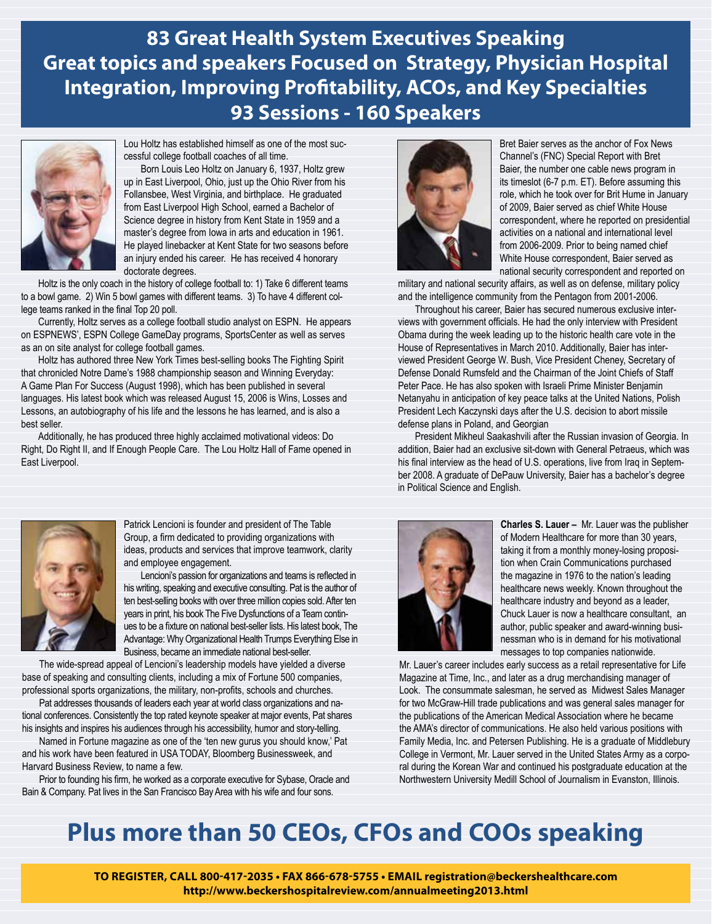**83 Great Health System Executives Speaking Great topics and speakers Focused on Strategy, Physician Hospital Integration, Improving Profitability, ACOs, and Key Specialties 93 Sessions - 160 Speakers**



Lou Holtz has established himself as one of the most successful college football coaches of all time.

Born Louis Leo Holtz on January 6, 1937, Holtz grew up in East Liverpool, Ohio, just up the Ohio River from his Follansbee, West Virginia, and birthplace. He graduated from East Liverpool High School, earned a Bachelor of Science degree in history from Kent State in 1959 and a master's degree from Iowa in arts and education in 1961. He played linebacker at Kent State for two seasons before an injury ended his career. He has received 4 honorary doctorate degrees.

Holtz is the only coach in the history of college football to: 1) Take 6 different teams to a bowl game. 2) Win 5 bowl games with different teams. 3) To have 4 different college teams ranked in the final Top 20 poll.

Currently, Holtz serves as a college football studio analyst on ESPN. He appears on ESPNEWS', ESPN College GameDay programs, SportsCenter as well as serves as an on site analyst for college football games.

Holtz has authored three New York Times best-selling books The Fighting Spirit that chronicled Notre Dame's 1988 championship season and Winning Everyday: A Game Plan For Success (August 1998), which has been published in several languages. His latest book which was released August 15, 2006 is Wins, Losses and Lessons, an autobiography of his life and the lessons he has learned, and is also a best seller.

Additionally, he has produced three highly acclaimed motivational videos: Do Right, Do Right II, and If Enough People Care. The Lou Holtz Hall of Fame opened in East Liverpool.



Patrick Lencioni is founder and president of The Table Group, a firm dedicated to providing organizations with ideas, products and services that improve teamwork, clarity and employee engagement.

Lencioni's passion for organizations and teams is reflected in his writing, speaking and executive consulting. Pat is the author of ten best-selling books with over three million copies sold. After ten years in print, his book The Five Dysfunctions of a Team continues to be a fixture on national best-seller lists. His latest book, The Advantage: Why Organizational Health Trumps Everything Else in Business, became an immediate national best-seller.

The wide-spread appeal of Lencioni's leadership models have yielded a diverse base of speaking and consulting clients, including a mix of Fortune 500 companies, professional sports organizations, the military, non-profits, schools and churches.

Pat addresses thousands of leaders each year at world class organizations and national conferences. Consistently the top rated keynote speaker at major events, Pat shares his insights and inspires his audiences through his accessibility, humor and story-telling.

Named in Fortune magazine as one of the 'ten new gurus you should know,' Pat and his work have been featured in USA TODAY, Bloomberg Businessweek, and Harvard Business Review, to name a few.

Prior to founding his firm, he worked as a corporate executive for Sybase, Oracle and Bain & Company. Pat lives in the San Francisco Bay Area with his wife and four sons.



Bret Baier serves as the anchor of Fox News Channel's (FNC) Special Report with Bret Baier, the number one cable news program in its timeslot (6-7 p.m. ET). Before assuming this role, which he took over for Brit Hume in January of 2009, Baier served as chief White House correspondent, where he reported on presidential activities on a national and international level from 2006-2009. Prior to being named chief White House correspondent, Baier served as national security correspondent and reported on

military and national security affairs, as well as on defense, military policy and the intelligence community from the Pentagon from 2001-2006.

Throughout his career, Baier has secured numerous exclusive interviews with government officials. He had the only interview with President Obama during the week leading up to the historic health care vote in the House of Representatives in March 2010. Additionally, Baier has interviewed President George W. Bush, Vice President Cheney, Secretary of Defense Donald Rumsfeld and the Chairman of the Joint Chiefs of Staff Peter Pace. He has also spoken with Israeli Prime Minister Benjamin Netanyahu in anticipation of key peace talks at the United Nations, Polish President Lech Kaczynski days after the U.S. decision to abort missile defense plans in Poland, and Georgian

President Mikheul Saakashvili after the Russian invasion of Georgia. In addition, Baier had an exclusive sit-down with General Petraeus, which was his final interview as the head of U.S. operations, live from Iraq in September 2008. A graduate of DePauw University, Baier has a bachelor's degree in Political Science and English.



**Charles S. Lauer –** Mr. Lauer was the publisher of Modern Healthcare for more than 30 years, taking it from a monthly money-losing proposition when Crain Communications purchased the magazine in 1976 to the nation's leading healthcare news weekly. Known throughout the healthcare industry and beyond as a leader, Chuck Lauer is now a healthcare consultant, an author, public speaker and award-winning businessman who is in demand for his motivational messages to top companies nationwide.

Mr. Lauer's career includes early success as a retail representative for Life Magazine at Time, Inc., and later as a drug merchandising manager of Look. The consummate salesman, he served as Midwest Sales Manager for two McGraw-Hill trade publications and was general sales manager for the publications of the American Medical Association where he became the AMA's director of communications. He also held various positions with Family Media, Inc. and Petersen Publishing. He is a graduate of Middlebury College in Vermont, Mr. Lauer served in the United States Army as a corporal during the Korean War and continued his postgraduate education at the Northwestern University Medill School of Journalism in Evanston, Illinois.

# **Plus more than 50 CEOs, CFOs and COOs speaking**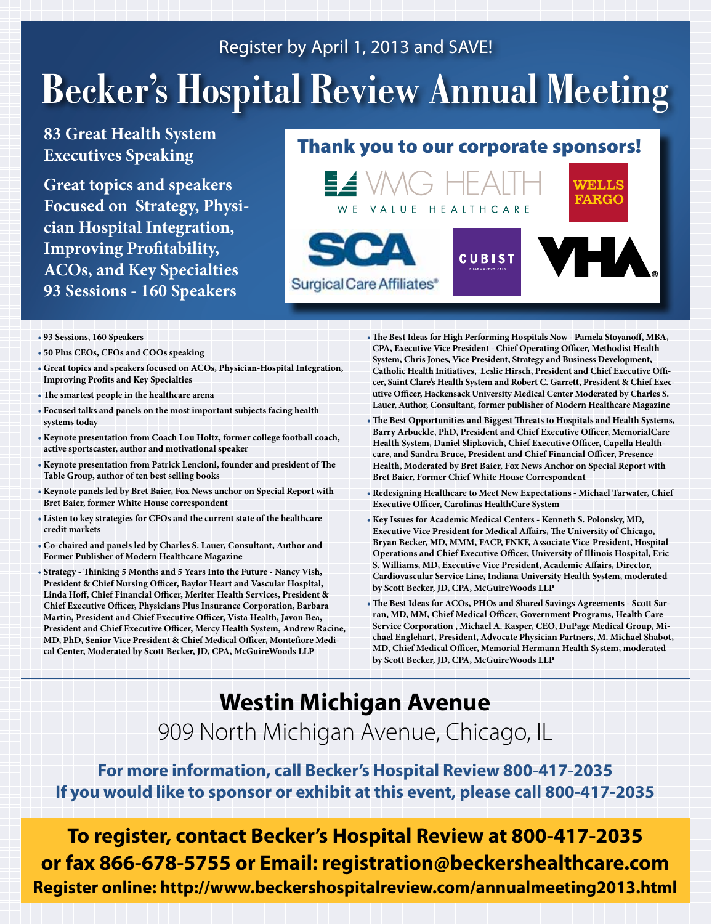# Register by April 1, 2013 and SAVE!

# **Becker's Hospital Review Annual Meeting**

# **83 Great Health System Executives Speaking**

**Great topics and speakers Focused on Strategy, Physician Hospital Integration, Improving Profitability, ACOs, and Key Specialties 93 Sessions - 160 Speakers**

# Thank you to our corporate sponsors!



- **• 93 Sessions, 160 Speakers**
- **• 50 Plus CEOs, CFOs and COOs speaking**
- **• Great topics and speakers focused on ACOs, Physician-Hospital Integration, Improving Profits and Key Specialties**
- **• The smartest people in the healthcare arena**
- **• Focused talks and panels on the most important subjects facing health systems today**
- **• Keynote presentation from Coach Lou Holtz, former college football coach, active sportscaster, author and motivational speaker**
- **• Keynote presentation from Patrick Lencioni, founder and president of The Table Group, author of ten best selling books**
- **• Keynote panels led by Bret Baier, Fox News anchor on Special Report with Bret Baier, former White House correspondent**
- **• Listen to key strategies for CFOs and the current state of the healthcare credit markets**
- **• Co-chaired and panels led by Charles S. Lauer, Consultant, Author and Former Publisher of Modern Healthcare Magazine**
- **• Strategy Thinking 5 Months and 5 Years Into the Future Nancy Vish, President & Chief Nursing Officer, Baylor Heart and Vascular Hospital, Linda Hoff, Chief Financial Officer, Meriter Health Services, President & Chief Executive Officer, Physicians Plus Insurance Corporation, Barbara Martin, President and Chief Executive Officer, Vista Health, Javon Bea, President and Chief Executive Officer, Mercy Health System, Andrew Racine, MD, PhD, Senior Vice President & Chief Medical Officer, Montefiore Medical Center, Moderated by Scott Becker, JD, CPA, McGuireWoods LLP**
- **• The Best Ideas for High Performing Hospitals Now Pamela Stoyanoff, MBA, CPA, Executive Vice President - Chief Operating Officer, Methodist Health System, Chris Jones, Vice President, Strategy and Business Development, Catholic Health Initiatives, Leslie Hirsch, President and Chief Executive Officer, Saint Clare's Health System and Robert C. Garrett, President & Chief Executive Officer, Hackensack University Medical Center Moderated by Charles S. Lauer, Author, Consultant, former publisher of Modern Healthcare Magazine**
- **• The Best Opportunities and Biggest Threats to Hospitals and Health Systems, Barry Arbuckle, PhD, President and Chief Executive Officer, MemorialCare Health System, Daniel Slipkovich, Chief Executive Officer, Capella Healthcare, and Sandra Bruce, President and Chief Financial Officer, Presence Health, Moderated by Bret Baier, Fox News Anchor on Special Report with Bret Baier, Former Chief White House Correspondent**
- **• Redesigning Healthcare to Meet New Expectations Michael Tarwater, Chief Executive Officer, Carolinas HealthCare System**
- **• Key Issues for Academic Medical Centers Kenneth S. Polonsky, MD, Executive Vice President for Medical Affairs, The University of Chicago, Bryan Becker, MD, MMM, FACP, FNKF, Associate Vice-President, Hospital Operations and Chief Executive Officer, University of Illinois Hospital, Eric S. Williams, MD, Executive Vice President, Academic Affairs, Director, Cardiovascular Service Line, Indiana University Health System, moderated by Scott Becker, JD, CPA, McGuireWoods LLP**
- **• The Best Ideas for ACOs, PHOs and Shared Savings Agreements Scott Sarran, MD, MM, Chief Medical Officer, Government Programs, Health Care Service Corporation , Michael A. Kasper, CEO, DuPage Medical Group, Michael Englehart, President, Advocate Physician Partners, M. Michael Shabot, MD, Chief Medical Officer, Memorial Hermann Health System, moderated by Scott Becker, JD, CPA, McGuireWoods LLP**

# **Westin Michigan Avenue** 909 North Michigan Avenue, Chicago, IL

**For more information, call Becker's Hospital Review 800-417-2035 If you would like to sponsor or exhibit at this event, please call 800-417-2035**

**To register, contact Becker's Hospital Review at 800-417-2035 or fax 866-678-5755 or Email: registration@beckershealthcare.com Register online: http://www.beckershospitalreview.com/annualmeeting2013.html**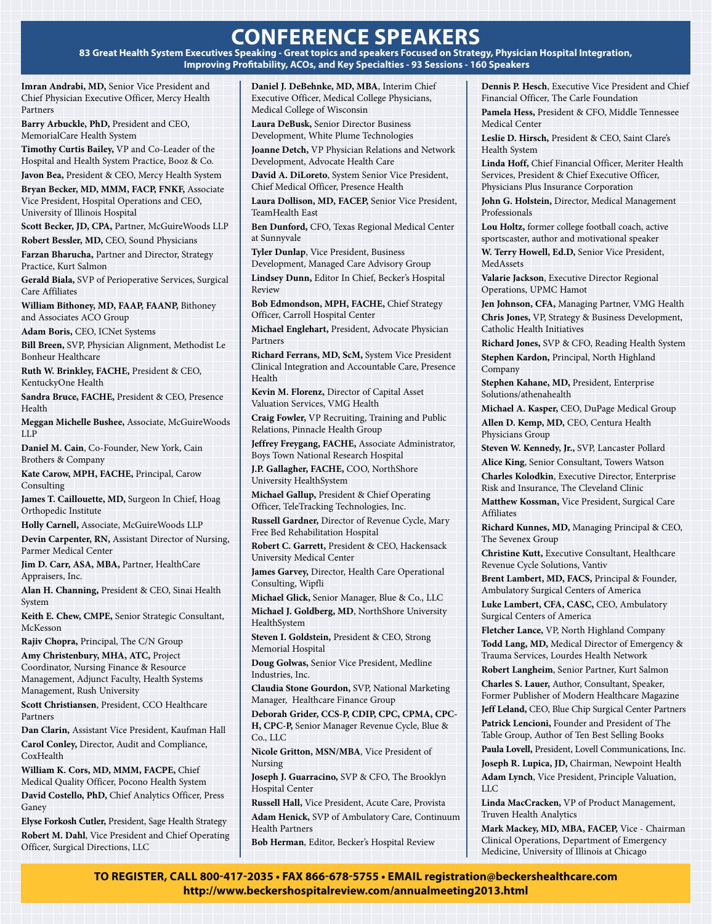# **conference speakers**

**83 Great Health System Executives Speaking - Great topics and speakers Focused on Strategy, Physician Hospital Integration, Improving Profitability, ACOs, and Key Specialties - 93 Sessions - 160 Speakers**

**Imran Andrabi, MD,** Senior Vice President and Chief Physician Executive Officer, Mercy Health Partners

**Barry Arbuckle, PhD,** President and CEO, MemorialCare Health System

**Timothy Curtis Bailey,** VP and Co-Leader of the Hospital and Health System Practice, Booz & Co.

**Javon Bea,** President & CEO, Mercy Health System **Bryan Becker, MD, MMM, FACP, FNKF,** Associate Vice President, Hospital Operations and CEO, University of Illinois Hospital

**Scott Becker, JD, CPA,** Partner, McGuireWoods LLP **Robert Bessler, MD,** CEO, Sound Physicians

**Farzan Bharucha,** Partner and Director, Strategy Practice, Kurt Salmon

**Gerald Biala,** SVP of Perioperative Services, Surgical Care Affiliates

**William Bithoney, MD, FAAP, FAANP,** Bithoney and Associates ACO Group

**Adam Boris,** CEO, ICNet Systems

**Bill Breen,** SVP, Physician Alignment, Methodist Le Bonheur Healthcare

**Ruth W. Brinkley, FACHE,** President & CEO, KentuckyOne Health

**Sandra Bruce, FACHE,** President & CEO, Presence Health

**Meggan Michelle Bushee,** Associate, McGuireWoods LLP

**Daniel M. Cain**, Co-Founder, New York, Cain Brothers & Company

**Kate Carow, MPH, FACHE,** Principal, Carow Consulting

**James T. Caillouette, MD,** Surgeon In Chief, Hoag Orthopedic Institute

**Holly Carnell,** Associate, McGuireWoods LLP

**Devin Carpenter, RN,** Assistant Director of Nursing, Parmer Medical Center

**Jim D. Carr, ASA, MBA,** Partner, HealthCare Appraisers, Inc.

**Alan H. Channing,** President & CEO, Sinai Health System

**Keith E. Chew, CMPE,** Senior Strategic Consultant, McKesson

**Rajiv Chopra,** Principal, The C/N Group **Amy Christenbury, MHA, ATC,** Project

Coordinator, Nursing Finance & Resource Management, Adjunct Faculty, Health Systems Management, Rush University

**Scott Christiansen**, President, CCO Healthcare Partners

**Dan Clarin,** Assistant Vice President, Kaufman Hall **Carol Conley,** Director, Audit and Compliance, CoxHealth

**William K. Cors, MD, MMM, FACPE,** Chief Medical Quality Officer, Pocono Health System **David Costello, PhD,** Chief Analytics Officer, Press

Ganey **Elyse Forkosh Cutler,** President, Sage Health Strategy

**Robert M. Dahl**, Vice President and Chief Operating Officer, Surgical Directions, LLC

**Daniel J. DeBehnke, MD, MBA**, Interim Chief Executive Officer, Medical College Physicians, Medical College of Wisconsin

**Laura DeBusk,** Senior Director Business Development, White Plume Technologies

**Joanne Detch,** VP Physician Relations and Network Development, Advocate Health Care

**David A. DiLoreto**, System Senior Vice President, Chief Medical Officer, Presence Health

**Laura Dollison, MD, FACEP,** Senior Vice President, TeamHealth East

**Ben Dunford,** CFO, Texas Regional Medical Center at Sunnyvale

**Tyler Dunlap**, Vice President, Business Development, Managed Care Advisory Group

**Lindsey Dunn,** Editor In Chief, Becker's Hospital Review

**Bob Edmondson, MPH, FACHE,** Chief Strategy Officer, Carroll Hospital Center

**Michael Englehart,** President, Advocate Physician Partners

**Richard Ferrans, MD, ScM,** System Vice President Clinical Integration and Accountable Care, Presence Health

**Kevin M. Florenz,** Director of Capital Asset Valuation Services, VMG Health

**Craig Fowler,** VP Recruiting, Training and Public Relations, Pinnacle Health Group

**Jeffrey Freygang, FACHE,** Associate Administrator, Boys Town National Research Hospital

**J.P. Gallagher, FACHE,** COO, NorthShore University HealthSystem

**Michael Gallup,** President & Chief Operating Officer, TeleTracking Technologies, Inc.

**Russell Gardner,** Director of Revenue Cycle, Mary Free Bed Rehabilitation Hospital

**Robert C. Garrett,** President & CEO, Hackensack University Medical Center

**James Garvey,** Director, Health Care Operational Consulting, Wipfli

**Michael Glick,** Senior Manager, Blue & Co., LLC **Michael J. Goldberg, MD**, NorthShore University HealthSystem

**Steven I. Goldstein,** President & CEO, Strong Memorial Hospital

**Doug Golwas,** Senior Vice President, Medline Industries, Inc.

**Claudia Stone Gourdon,** SVP, National Marketing Manager, Healthcare Finance Group

**Deborah Grider, CCS-P, CDIP, CPC, CPMA, CPC-H, CPC-P,** Senior Manager Revenue Cycle, Blue & Co., LLC

**Nicole Gritton, MSN/MBA**, Vice President of Nursing

**Joseph J. Guarracino,** SVP & CFO, The Brooklyn Hospital Center

**Russell Hall,** Vice President, Acute Care, Provista **Adam Henick,** SVP of Ambulatory Care, Continuum Health Partners

**Bob Herman**, Editor, Becker's Hospital Review

**Dennis P. Hesch**, Executive Vice President and Chief Financial Officer, The Carle Foundation

**Pamela Hess,** President & CFO, Middle Tennessee Medical Center

**Leslie D. Hirsch,** President & CEO, Saint Clare's Health System

**Linda Hoff,** Chief Financial Officer, Meriter Health Services, President & Chief Executive Officer, Physicians Plus Insurance Corporation

**John G. Holstein,** Director, Medical Management Professionals

**Lou Holtz,** former college football coach, active sportscaster, author and motivational speaker

**W. Terry Howell, Ed.D,** Senior Vice President, MedAssets

**Valarie Jackson**, Executive Director Regional Operations, UPMC Hamot

**Jen Johnson, CFA,** Managing Partner, VMG Health **Chris Jones,** VP, Strategy & Business Development, Catholic Health Initiatives

**Richard Jones,** SVP & CFO, Reading Health System **Stephen Kardon,** Principal, North Highland Company

**Stephen Kahane, MD,** President, Enterprise Solutions/athenahealth

**Michael A. Kasper,** CEO, DuPage Medical Group **Allen D. Kemp, MD,** CEO, Centura Health Physicians Group

**Steven W. Kennedy, Jr.,** SVP, Lancaster Pollard

**Alice King**, Senior Consultant, Towers Watson

**Charles Kolodkin**, Executive Director, Enterprise Risk and Insurance, The Cleveland Clinic

**Matthew Kossman,** Vice President, Surgical Care Affiliates

**Richard Kunnes, MD,** Managing Principal & CEO, The Sevenex Group

**Christine Kutt,** Executive Consultant, Healthcare Revenue Cycle Solutions, Vantiv

**Brent Lambert, MD, FACS,** Principal & Founder, Ambulatory Surgical Centers of America

**Luke Lambert, CFA, CASC,** CEO, Ambulatory Surgical Centers of America

**Fletcher Lance,** VP, North Highland Company **Todd Lang, MD,** Medical Director of Emergency & Trauma Services, Lourdes Health Network

**Robert Langheim**, Senior Partner, Kurt Salmon **Charles S. Lauer,** Author, Consultant, Speaker, Former Publisher of Modern Healthcare Magazine

**Jeff Leland,** CEO, Blue Chip Surgical Center Partners **Patrick Lencioni,** Founder and President of The

Table Group, Author of Ten Best Selling Books

**Paula Lovell,** President, Lovell Communications, Inc. **Joseph R. Lupica, JD,** Chairman, Newpoint Health

**Adam Lynch**, Vice President, Principle Valuation, LLC

**Linda MacCracken,** VP of Product Management, Truven Health Analytics

**Mark Mackey, MD, MBA, FACEP,** Vice - Chairman Clinical Operations, Department of Emergency Medicine, University of Illinois at Chicago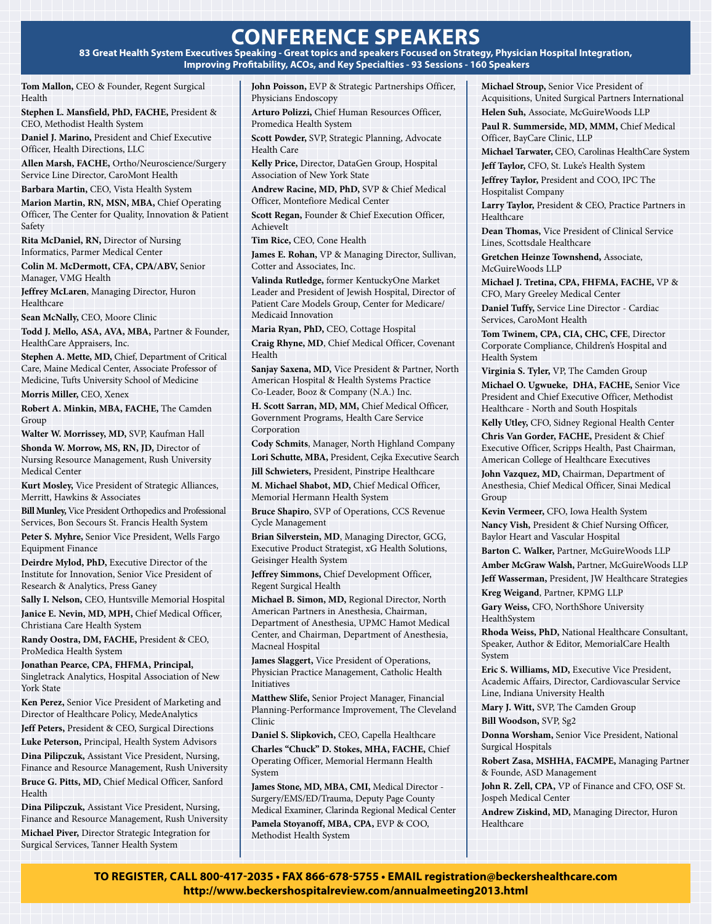# **conference speakers**

**83 Great Health System Executives Speaking - Great topics and speakers Focused on Strategy, Physician Hospital Integration, Improving Profitability, ACOs, and Key Specialties - 93 Sessions - 160 Speakers**

**Tom Mallon,** CEO & Founder, Regent Surgical Health

**Stephen L. Mansfield, PhD, FACHE,** President & CEO, Methodist Health System

**Daniel J. Marino,** President and Chief Executive Officer, Health Directions, LLC

**Allen Marsh, FACHE,** Ortho/Neuroscience/Surgery Service Line Director, CaroMont Health

**Barbara Martin,** CEO, Vista Health System

**Marion Martin, RN, MSN, MBA,** Chief Operating Officer, The Center for Quality, Innovation & Patient Safety

**Rita McDaniel, RN,** Director of Nursing Informatics, Parmer Medical Center

**Colin M. McDermott, CFA, CPA/ABV,** Senior Manager, VMG Health

**Jeffrey McLaren**, Managing Director, Huron **Healthcare** 

**Sean McNally,** CEO, Moore Clinic

**Todd J. Mello, ASA, AVA, MBA,** Partner & Founder, HealthCare Appraisers, Inc.

**Stephen A. Mette, MD,** Chief, Department of Critical Care, Maine Medical Center, Associate Professor of Medicine, Tufts University School of Medicine

**Morris Miller,** CEO, Xenex

**Robert A. Minkin, MBA, FACHE,** The Camden Group

**Walter W. Morrissey, MD,** SVP, Kaufman Hall

**Shonda W. Morrow, MS, RN, JD,** Director of Nursing Resource Management, Rush University Medical Center

**Kurt Mosley,** Vice President of Strategic Alliances, Merritt, Hawkins & Associates

**Bill Munley,** Vice President Orthopedics and Professional Services, Bon Secours St. Francis Health System

**Peter S. Myhre,** Senior Vice President, Wells Fargo Equipment Finance

**Deirdre Mylod, PhD,** Executive Director of the Institute for Innovation, Senior Vice President of Research & Analytics, Press Ganey

**Sally I. Nelson,** CEO, Huntsville Memorial Hospital **Janice E. Nevin, MD, MPH,** Chief Medical Officer,

Christiana Care Health System **Randy Oostra, DM, FACHE,** President & CEO,

ProMedica Health System

**Jonathan Pearce, CPA, FHFMA, Principal,** Singletrack Analytics, Hospital Association of New York State

**Ken Perez,** Senior Vice President of Marketing and Director of Healthcare Policy, MedeAnalytics

**Jeff Peters,** President & CEO, Surgical Directions **Luke Peterson,** Principal, Health System Advisors

**Dina Pilipczuk,** Assistant Vice President, Nursing, Finance and Resource Management, Rush University **Bruce G. Pitts, MD,** Chief Medical Officer, Sanford Health

**Dina Pilipczuk,** Assistant Vice President, Nursing, Finance and Resource Management, Rush University

**Michael Piver,** Director Strategic Integration for Surgical Services, Tanner Health System

**John Poisson,** EVP & Strategic Partnerships Officer, Physicians Endoscopy

**Arturo Polizzi,** Chief Human Resources Officer, Promedica Health System

**Scott Powder,** SVP, Strategic Planning, Advocate Health Care

**Kelly Price,** Director, DataGen Group, Hospital Association of New York State

**Andrew Racine, MD, PhD,** SVP & Chief Medical Officer, Montefiore Medical Center

**Scott Regan,** Founder & Chief Execution Officer, AchieveIt

**Tim Rice,** CEO, Cone Health

**James E. Rohan,** VP & Managing Director, Sullivan, Cotter and Associates, Inc.

**Valinda Rutledge,** former KentuckyOne Market Leader and President of Jewish Hospital, Director of Patient Care Models Group, Center for Medicare/ Medicaid Innovation

**Maria Ryan, PhD,** CEO, Cottage Hospital **Craig Rhyne, MD**, Chief Medical Officer, Covenant Health

**Sanjay Saxena, MD,** Vice President & Partner, North American Hospital & Health Systems Practice Co-Leader, Booz & Company (N.A.) Inc.

**H. Scott Sarran, MD, MM,** Chief Medical Officer, Government Programs, Health Care Service Corporation

**Cody Schmits**, Manager, North Highland Company

**Lori Schutte, MBA,** President, Cejka Executive Search **Jill Schwieters,** President, Pinstripe Healthcare

**M. Michael Shabot, MD,** Chief Medical Officer, Memorial Hermann Health System

**Bruce Shapiro**, SVP of Operations, CCS Revenue Cycle Management

**Brian Silverstein, MD**, Managing Director, GCG, Executive Product Strategist, xG Health Solutions, Geisinger Health System

**Jeffrey Simmons,** Chief Development Officer, Regent Surgical Health

**Michael B. Simon, MD,** Regional Director, North American Partners in Anesthesia, Chairman, Department of Anesthesia, UPMC Hamot Medical Center, and Chairman, Department of Anesthesia, Macneal Hospital

**James Slaggert,** Vice President of Operations, Physician Practice Management, Catholic Health Initiatives

**Matthew Slife,** Senior Project Manager, Financial Planning-Performance Improvement, The Cleveland Clinic

**Daniel S. Slipkovich,** CEO, Capella Healthcare

**Charles "Chuck" D. Stokes, MHA, FACHE,** Chief Operating Officer, Memorial Hermann Health System

**James Stone, MD, MBA, CMI,** Medical Director - Surgery/EMS/ED/Trauma, Deputy Page County Medical Examiner, Clarinda Regional Medical Center **Pamela Stoyanoff, MBA, CPA,** EVP & COO, Methodist Health System

**Michael Stroup,** Senior Vice President of Acquisitions, United Surgical Partners International **Helen Suh,** Associate, McGuireWoods LLP **Paul R. Summerside, MD, MMM,** Chief Medical Officer, BayCare Clinic, LLP

**Michael Tarwater,** CEO, Carolinas HealthCare System **Jeff Taylor,** CFO, St. Luke's Health System

**Jeffrey Taylor,** President and COO, IPC The Hospitalist Company

**Larry Taylor,** President & CEO, Practice Partners in Healthcare

**Dean Thomas,** Vice President of Clinical Service Lines, Scottsdale Healthcare

**Gretchen Heinze Townshend,** Associate, McGuireWoods LLP

**Michael J. Tretina, CPA, FHFMA, FACHE,** VP & CFO, Mary Greeley Medical Center

**Daniel Tuffy,** Service Line Director - Cardiac Services, CaroMont Health

**Tom Twinem, CPA, CIA, CHC, CFE**, Director Corporate Compliance, Children's Hospital and Health System

**Virginia S. Tyler,** VP, The Camden Group

**Michael O. Ugwueke, DHA, FACHE,** Senior Vice President and Chief Executive Officer, Methodist Healthcare - North and South Hospitals

**Kelly Utley,** CFO, Sidney Regional Health Center

**Chris Van Gorder, FACHE,** President & Chief Executive Officer, Scripps Health, Past Chairman, American College of Healthcare Executives

**John Vazquez, MD,** Chairman, Department of Anesthesia, Chief Medical Officer, Sinai Medical Group

**Kevin Vermeer,** CFO, Iowa Health System

**Nancy Vish,** President & Chief Nursing Officer, Baylor Heart and Vascular Hospital

**Barton C. Walker,** Partner, McGuireWoods LLP

**Amber McGraw Walsh,** Partner, McGuireWoods LLP

**Jeff Wasserman,** President, JW Healthcare Strategies **Kreg Weigand**, Partner, KPMG LLP

**Gary Weiss,** CFO, NorthShore University HealthSystem

**Rhoda Weiss, PhD,** National Healthcare Consultant, Speaker, Author & Editor, MemorialCare Health System

**Eric S. Williams, MD,** Executive Vice President, Academic Affairs, Director, Cardiovascular Service Line, Indiana University Health

**Mary J. Witt,** SVP, The Camden Group **Bill Woodson,** SVP, Sg2

**Donna Worsham,** Senior Vice President, National Surgical Hospitals

**Robert Zasa, MSHHA, FACMPE,** Managing Partner & Founde, ASD Management

**John R. Zell, CPA,** VP of Finance and CFO, OSF St. Jospeh Medical Center

**Andrew Ziskind, MD,** Managing Director, Huron Healthcare